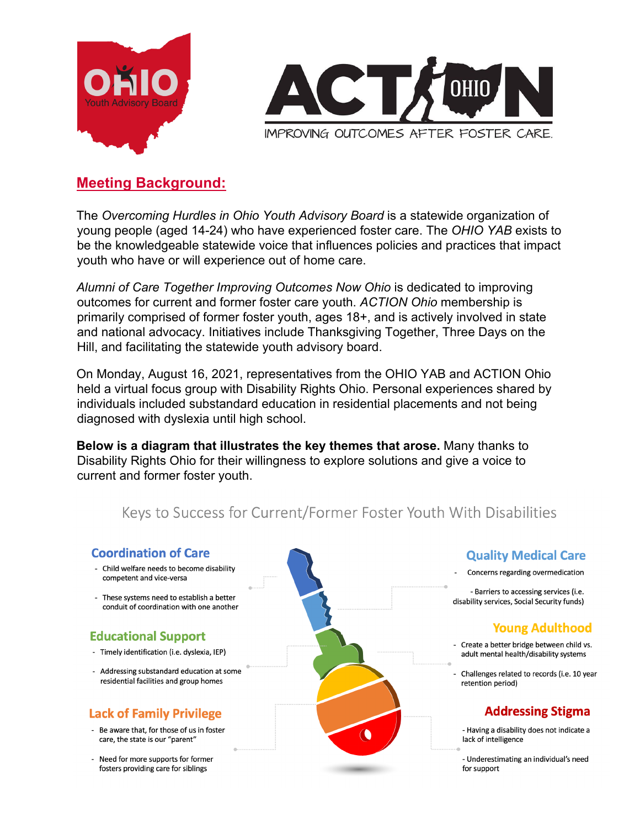



# **Meeting Background:**

The *Overcoming Hurdles in Ohio Youth Advisory Board* is a statewide organization of young people (aged 14-24) who have experienced foster care. The *OHIO YAB* exists to be the knowledgeable statewide voice that influences policies and practices that impact youth who have or will experience out of home care.

*Alumni of Care Together Improving Outcomes Now Ohio* is dedicated to improving outcomes for current and former foster care youth. *ACTION Ohio* membership is primarily comprised of former foster youth, ages 18+, and is actively involved in state and national advocacy. Initiatives include Thanksgiving Together, Three Days on the Hill, and facilitating the statewide youth advisory board.

On Monday, August 16, 2021, representatives from the OHIO YAB and ACTION Ohio held a virtual focus group with Disability Rights Ohio. Personal experiences shared by individuals included substandard education in residential placements and not being diagnosed with dyslexia until high school.

**Below is a diagram that illustrates the key themes that arose.** Many thanks to Disability Rights Ohio for their willingness to explore solutions and give a voice to current and former foster youth.

# Keys to Success for Current/Former Foster Youth With Disabilities



- Be aware that, for those of us in foster care, the state is our "parent"
- Need for more supports for former
	- fosters providing care for siblings

∩

#### **Quality Medical Care**

Concerns regarding overmedication

- Barriers to accessing services (i.e. disability services, Social Security funds)

### Young Adulthood

- Create a better bridge between child vs. adult mental health/disability systems
- Challenges related to records (i.e. 10 year retention period)

# **Addressing Stigma**

- Having a disability does not indicate a lack of intelligence

- Underestimating an individual's need for support